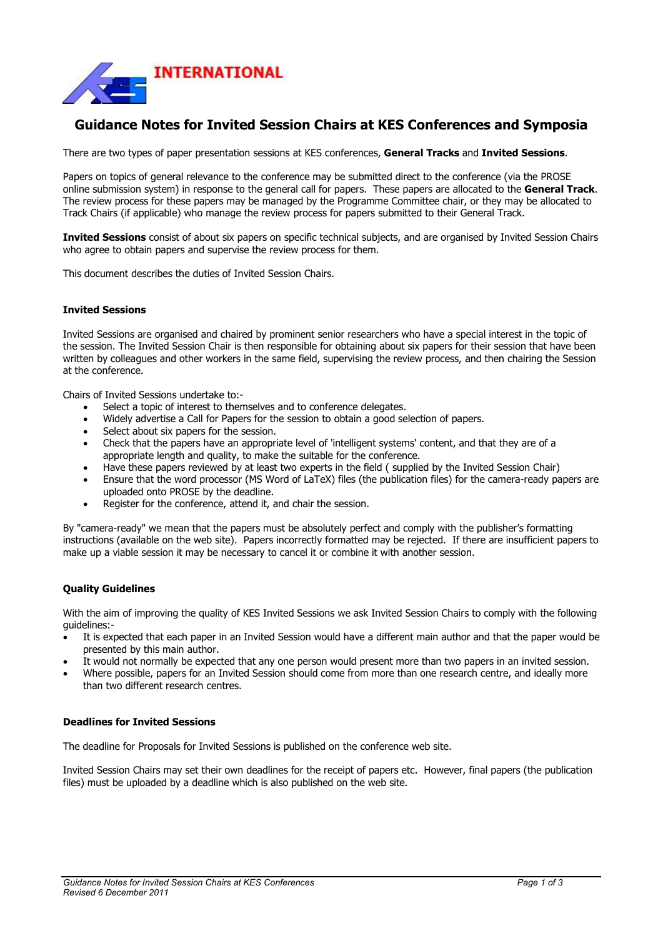

# **Guidance Notes for Invited Session Chairs at KES Conferences and Symposia**

There are two types of paper presentation sessions at KES conferences, **General Tracks** and **Invited Sessions**.

Papers on topics of general relevance to the conference may be submitted direct to the conference (via the PROSE online submission system) in response to the general call for papers. These papers are allocated to the **General Track**. The review process for these papers may be managed by the Programme Committee chair, or they may be allocated to Track Chairs (if applicable) who manage the review process for papers submitted to their General Track.

**Invited Sessions** consist of about six papers on specific technical subjects, and are organised by Invited Session Chairs who agree to obtain papers and supervise the review process for them.

This document describes the duties of Invited Session Chairs.

## **Invited Sessions**

Invited Sessions are organised and chaired by prominent senior researchers who have a special interest in the topic of the session. The Invited Session Chair is then responsible for obtaining about six papers for their session that have been written by colleagues and other workers in the same field, supervising the review process, and then chairing the Session at the conference.

Chairs of Invited Sessions undertake to:-

- Select a topic of interest to themselves and to conference delegates.
- Widely advertise a Call for Papers for the session to obtain a good selection of papers.
- Select about six papers for the session.
- Check that the papers have an appropriate level of 'intelligent systems' content, and that they are of a appropriate length and quality, to make the suitable for the conference.
- Have these papers reviewed by at least two experts in the field ( supplied by the Invited Session Chair)
- Ensure that the word processor (MS Word of LaTeX) files (the publication files) for the camera-ready papers are uploaded onto PROSE by the deadline.
- Register for the conference, attend it, and chair the session.

By "camera-ready" we mean that the papers must be absolutely perfect and comply with the publisher's formatting instructions (available on the web site). Papers incorrectly formatted may be rejected. If there are insufficient papers to make up a viable session it may be necessary to cancel it or combine it with another session.

#### **Quality Guidelines**

With the aim of improving the quality of KES Invited Sessions we ask Invited Session Chairs to comply with the following guidelines:-

- It is expected that each paper in an Invited Session would have a different main author and that the paper would be presented by this main author.
- It would not normally be expected that any one person would present more than two papers in an invited session.
- Where possible, papers for an Invited Session should come from more than one research centre, and ideally more than two different research centres.

#### **Deadlines for Invited Sessions**

The deadline for Proposals for Invited Sessions is published on the conference web site.

Invited Session Chairs may set their own deadlines for the receipt of papers etc. However, final papers (the publication files) must be uploaded by a deadline which is also published on the web site.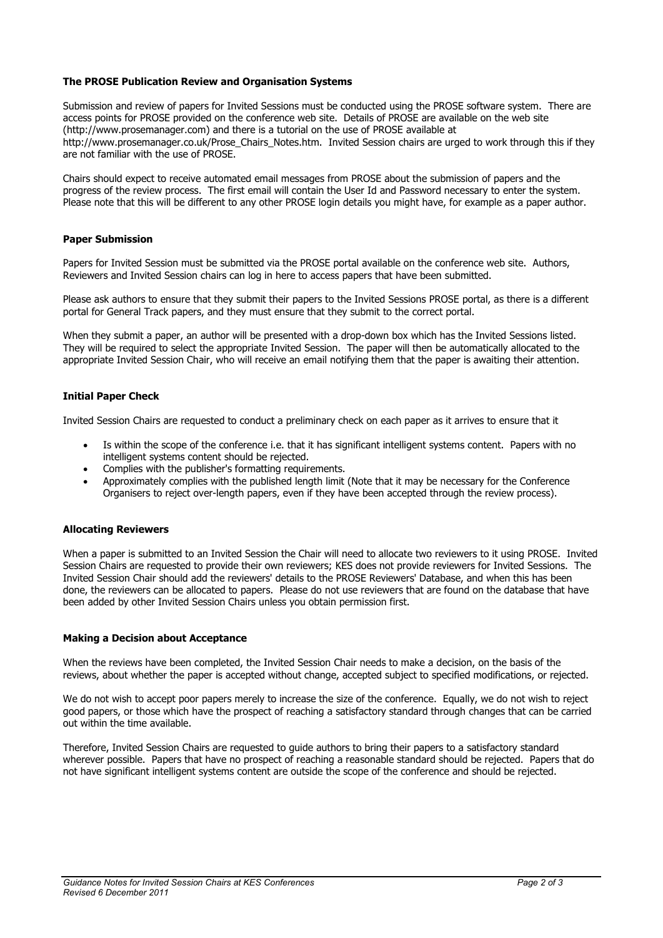# **The PROSE Publication Review and Organisation Systems**

Submission and review of papers for Invited Sessions must be conducted using the PROSE software system. There are access points for PROSE provided on the conference web site. Details of PROSE are available on the web site (http://www.prosemanager.com) and there is a tutorial on the use of PROSE available at http://www.prosemanager.co.uk/Prose\_Chairs\_Notes.htm. Invited Session chairs are urged to work through this if they are not familiar with the use of PROSE.

Chairs should expect to receive automated email messages from PROSE about the submission of papers and the progress of the review process. The first email will contain the User Id and Password necessary to enter the system. Please note that this will be different to any other PROSE login details you might have, for example as a paper author.

#### **Paper Submission**

Papers for Invited Session must be submitted via the PROSE portal available on the conference web site. Authors, Reviewers and Invited Session chairs can log in here to access papers that have been submitted.

Please ask authors to ensure that they submit their papers to the Invited Sessions PROSE portal, as there is a different portal for General Track papers, and they must ensure that they submit to the correct portal.

When they submit a paper, an author will be presented with a drop-down box which has the Invited Sessions listed. They will be required to select the appropriate Invited Session. The paper will then be automatically allocated to the appropriate Invited Session Chair, who will receive an email notifying them that the paper is awaiting their attention.

# **Initial Paper Check**

Invited Session Chairs are requested to conduct a preliminary check on each paper as it arrives to ensure that it

- Is within the scope of the conference i.e. that it has significant intelligent systems content. Papers with no intelligent systems content should be rejected.
- Complies with the publisher's formatting requirements.
- Approximately complies with the published length limit (Note that it may be necessary for the Conference Organisers to reject over-length papers, even if they have been accepted through the review process).

#### **Allocating Reviewers**

When a paper is submitted to an Invited Session the Chair will need to allocate two reviewers to it using PROSE. Invited Session Chairs are requested to provide their own reviewers; KES does not provide reviewers for Invited Sessions. The Invited Session Chair should add the reviewers' details to the PROSE Reviewers' Database, and when this has been done, the reviewers can be allocated to papers. Please do not use reviewers that are found on the database that have been added by other Invited Session Chairs unless you obtain permission first.

#### **Making a Decision about Acceptance**

When the reviews have been completed, the Invited Session Chair needs to make a decision, on the basis of the reviews, about whether the paper is accepted without change, accepted subject to specified modifications, or rejected.

We do not wish to accept poor papers merely to increase the size of the conference. Equally, we do not wish to reject good papers, or those which have the prospect of reaching a satisfactory standard through changes that can be carried out within the time available.

Therefore, Invited Session Chairs are requested to guide authors to bring their papers to a satisfactory standard wherever possible. Papers that have no prospect of reaching a reasonable standard should be rejected. Papers that do not have significant intelligent systems content are outside the scope of the conference and should be rejected.